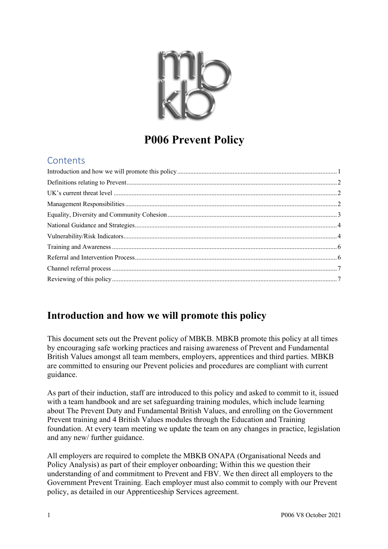

# **P006 Prevent Policy**

### **Contents**

## **Introduction and how we will promote this policy**

This document sets out the Prevent policy of MBKB. MBKB promote this policy at all times by encouraging safe working practices and raising awareness of Prevent and Fundamental British Values amongst all team members, employers, apprentices and third parties. MBKB are committed to ensuring our Prevent policies and procedures are compliant with current guidance.

As part of their induction, staff are introduced to this policy and asked to commit to it, issued with a team handbook and are set safeguarding training modules, which include learning about The Prevent Duty and Fundamental British Values, and enrolling on the Government Prevent training and 4 British Values modules through the Education and Training foundation. At every team meeting we update the team on any changes in practice, legislation and any new/ further guidance.

All employers are required to complete the MBKB ONAPA (Organisational Needs and Policy Analysis) as part of their employer onboarding; Within this we question their understanding of and commitment to Prevent and FBV. We then direct all employers to the Government Prevent Training. Each employer must also commit to comply with our Prevent policy, as detailed in our Apprenticeship Services agreement.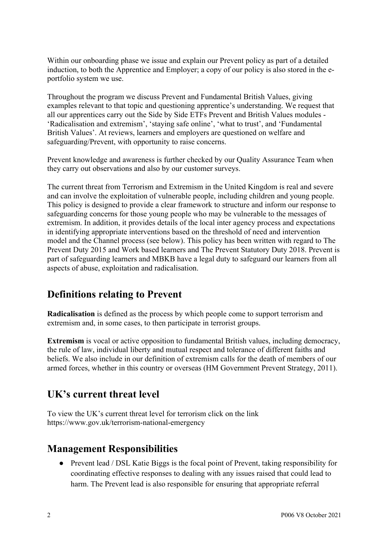Within our onboarding phase we issue and explain our Prevent policy as part of a detailed induction, to both the Apprentice and Employer; a copy of our policy is also stored in the eportfolio system we use.

Throughout the program we discuss Prevent and Fundamental British Values, giving examples relevant to that topic and questioning apprentice's understanding. We request that all our apprentices carry out the Side by Side ETFs Prevent and British Values modules - 'Radicalisation and extremism', 'staying safe online', 'what to trust', and 'Fundamental British Values'. At reviews, learners and employers are questioned on welfare and safeguarding/Prevent, with opportunity to raise concerns.

Prevent knowledge and awareness is further checked by our Quality Assurance Team when they carry out observations and also by our customer surveys.

The current threat from Terrorism and Extremism in the United Kingdom is real and severe and can involve the exploitation of vulnerable people, including children and young people. This policy is designed to provide a clear framework to structure and inform our response to safeguarding concerns for those young people who may be vulnerable to the messages of extremism. In addition, it provides details of the local inter agency process and expectations in identifying appropriate interventions based on the threshold of need and intervention model and the Channel process (see below). This policy has been written with regard to The Prevent Duty 2015 and Work based learners and The Prevent Statutory Duty 2018. Prevent is part of safeguarding learners and MBKB have a legal duty to safeguard our learners from all aspects of abuse, exploitation and radicalisation.

### **Definitions relating to Prevent**

**Radicalisation** is defined as the process by which people come to support terrorism and extremism and, in some cases, to then participate in terrorist groups.

**Extremism** is vocal or active opposition to fundamental British values, including democracy, the rule of law, individual liberty and mutual respect and tolerance of different faiths and beliefs. We also include in our definition of extremism calls for the death of members of our armed forces, whether in this country or overseas (HM Government Prevent Strategy, 2011).

### **UK's current threat level**

To view the UK's current threat level for terrorism click on the link https://www.gov.uk/terrorism-national-emergency

### **Management Responsibilities**

● Prevent lead / DSL Katie Biggs is the focal point of Prevent, taking responsibility for coordinating effective responses to dealing with any issues raised that could lead to harm. The Prevent lead is also responsible for ensuring that appropriate referral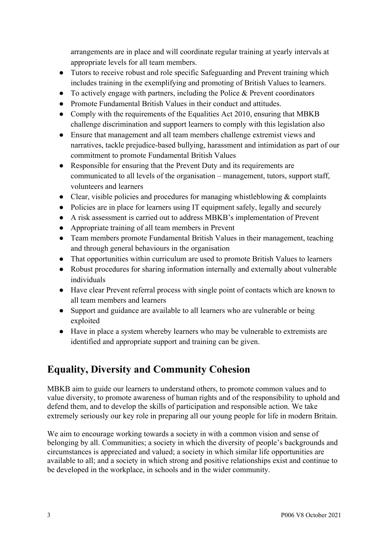arrangements are in place and will coordinate regular training at yearly intervals at appropriate levels for all team members.

- Tutors to receive robust and role specific Safeguarding and Prevent training which includes training in the exemplifying and promoting of British Values to learners.
- $\bullet$  To actively engage with partners, including the Police & Prevent coordinators
- Promote Fundamental British Values in their conduct and attitudes.
- Comply with the requirements of the Equalities Act 2010, ensuring that MBKB challenge discrimination and support learners to comply with this legislation also
- Ensure that management and all team members challenge extremist views and narratives, tackle prejudice-based bullying, harassment and intimidation as part of our commitment to promote Fundamental British Values
- Responsible for ensuring that the Prevent Duty and its requirements are communicated to all levels of the organisation – management, tutors, support staff, volunteers and learners
- Clear, visible policies and procedures for managing whistleblowing  $\&$  complaints
- Policies are in place for learners using IT equipment safely, legally and securely
- A risk assessment is carried out to address MBKB's implementation of Prevent
- Appropriate training of all team members in Prevent
- Team members promote Fundamental British Values in their management, teaching and through general behaviours in the organisation
- That opportunities within curriculum are used to promote British Values to learners
- Robust procedures for sharing information internally and externally about vulnerable individuals
- Have clear Prevent referral process with single point of contacts which are known to all team members and learners
- Support and guidance are available to all learners who are vulnerable or being exploited
- Have in place a system whereby learners who may be vulnerable to extremists are identified and appropriate support and training can be given.

# **Equality, Diversity and Community Cohesion**

MBKB aim to guide our learners to understand others, to promote common values and to value diversity, to promote awareness of human rights and of the responsibility to uphold and defend them, and to develop the skills of participation and responsible action. We take extremely seriously our key role in preparing all our young people for life in modern Britain.

We aim to encourage working towards a society in with a common vision and sense of belonging by all. Communities; a society in which the diversity of people's backgrounds and circumstances is appreciated and valued; a society in which similar life opportunities are available to all; and a society in which strong and positive relationships exist and continue to be developed in the workplace, in schools and in the wider community.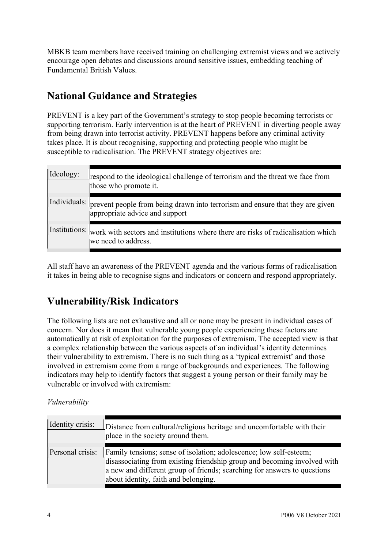MBKB team members have received training on challenging extremist views and we actively encourage open debates and discussions around sensitive issues, embedding teaching of Fundamental British Values.

# **National Guidance and Strategies**

PREVENT is a key part of the Government's strategy to stop people becoming terrorists or supporting terrorism. Early intervention is at the heart of PREVENT in diverting people away from being drawn into terrorist activity. PREVENT happens before any criminal activity takes place. It is about recognising, supporting and protecting people who might be susceptible to radicalisation. The PREVENT strategy objectives are:

| Ideology: | respond to the ideological challenge of terrorism and the threat we face from<br>those who promote it.                       |
|-----------|------------------------------------------------------------------------------------------------------------------------------|
|           | Individuals: prevent people from being drawn into terrorism and ensure that they are given<br>appropriate advice and support |
|           | Institutions: work with sectors and institutions where there are risks of radicalisation which<br>we need to address.        |

All staff have an awareness of the PREVENT agenda and the various forms of radicalisation it takes in being able to recognise signs and indicators or concern and respond appropriately.

# **Vulnerability/Risk Indicators**

The following lists are not exhaustive and all or none may be present in individual cases of concern. Nor does it mean that vulnerable young people experiencing these factors are automatically at risk of exploitation for the purposes of extremism. The accepted view is that a complex relationship between the various aspects of an individual's identity determines their vulnerability to extremism. There is no such thing as a 'typical extremist' and those involved in extremism come from a range of backgrounds and experiences. The following indicators may help to identify factors that suggest a young person or their family may be vulnerable or involved with extremism:

#### *Vulnerability*

| Identity crisis: | Distance from cultural/religious heritage and uncomfortable with their<br>place in the society around them.                                                                                                                                                               |
|------------------|---------------------------------------------------------------------------------------------------------------------------------------------------------------------------------------------------------------------------------------------------------------------------|
| Personal crisis: | <b>Family tensions; sense of isolation; adolescence; low self-esteem;</b><br>disassociating from existing friendship group and becoming involved with<br>a new and different group of friends; searching for answers to questions<br>about identity, faith and belonging. |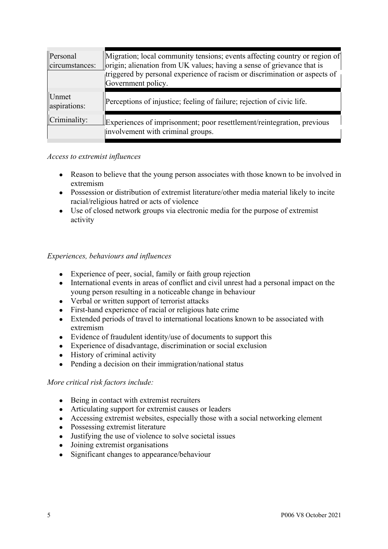| Personal<br>circumstances: | Migration; local community tensions; events affecting country or region of<br>origin; alienation from UK values; having a sense of grievance that is<br>triggered by personal experience of racism or discrimination or aspects of<br>Government policy. |
|----------------------------|----------------------------------------------------------------------------------------------------------------------------------------------------------------------------------------------------------------------------------------------------------|
| Unmet<br>aspirations:      | Perceptions of injustice; feeling of failure; rejection of civic life.                                                                                                                                                                                   |
| Criminality:               | Experiences of imprisonment; poor resettlement/reintegration, previous<br>involvement with criminal groups.                                                                                                                                              |

#### *Access to extremist influences*

- Reason to believe that the young person associates with those known to be involved in extremism
- Possession or distribution of extremist literature/other media material likely to incite racial/religious hatred or acts of violence
- Use of closed network groups via electronic media for the purpose of extremist activity

#### *Experiences, behaviours and influences*

- Experience of peer, social, family or faith group rejection
- International events in areas of conflict and civil unrest had a personal impact on the young person resulting in a noticeable change in behaviour
- Verbal or written support of terrorist attacks
- First-hand experience of racial or religious hate crime
- Extended periods of travel to international locations known to be associated with extremism
- Evidence of fraudulent identity/use of documents to support this
- Experience of disadvantage, discrimination or social exclusion
- History of criminal activity
- Pending a decision on their immigration/national status

#### *More critical risk factors include:*

- Being in contact with extremist recruiters
- Articulating support for extremist causes or leaders
- Accessing extremist websites, especially those with a social networking element
- Possessing extremist literature
- Justifying the use of violence to solve societal issues
- Joining extremist organisations
- Significant changes to appearance/behaviour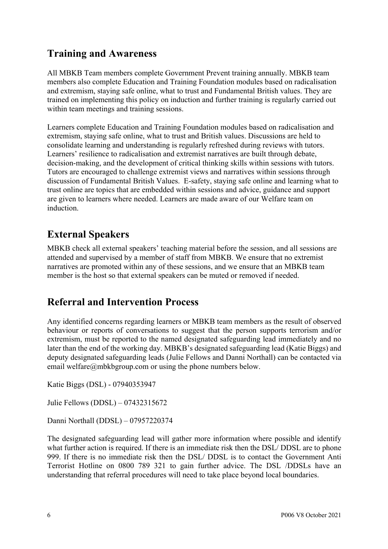## **Training and Awareness**

All MBKB Team members complete Government Prevent training annually. MBKB team members also complete Education and Training Foundation modules based on radicalisation and extremism, staying safe online, what to trust and Fundamental British values. They are trained on implementing this policy on induction and further training is regularly carried out within team meetings and training sessions.

Learners complete Education and Training Foundation modules based on radicalisation and extremism, staying safe online, what to trust and British values. Discussions are held to consolidate learning and understanding is regularly refreshed during reviews with tutors. Learners' resilience to radicalisation and extremist narratives are built through debate, decision-making, and the development of critical thinking skills within sessions with tutors. Tutors are encouraged to challenge extremist views and narratives within sessions through discussion of Fundamental British Values. E-safety, staying safe online and learning what to trust online are topics that are embedded within sessions and advice, guidance and support are given to learners where needed. Learners are made aware of our Welfare team on induction.

## **External Speakers**

MBKB check all external speakers' teaching material before the session, and all sessions are attended and supervised by a member of staff from MBKB. We ensure that no extremist narratives are promoted within any of these sessions, and we ensure that an MBKB team member is the host so that external speakers can be muted or removed if needed.

### **Referral and Intervention Process**

Any identified concerns regarding learners or MBKB team members as the result of observed behaviour or reports of conversations to suggest that the person supports terrorism and/or extremism, must be reported to the named designated safeguarding lead immediately and no later than the end of the working day. MBKB's designated safeguarding lead (Katie Biggs) and deputy designated safeguarding leads (Julie Fellows and Danni Northall) can be contacted via email welfare@mbkbgroup.com or using the phone numbers below.

Katie Biggs (DSL) - 07940353947

Julie Fellows (DDSL) – 07432315672

Danni Northall (DDSL) – 07957220374

The designated safeguarding lead will gather more information where possible and identify what further action is required. If there is an immediate risk then the DSL/ DDSL are to phone 999. If there is no immediate risk then the DSL/ DDSL is to contact the Government Anti Terrorist Hotline on 0800 789 321 to gain further advice. The DSL /DDSLs have an understanding that referral procedures will need to take place beyond local boundaries.